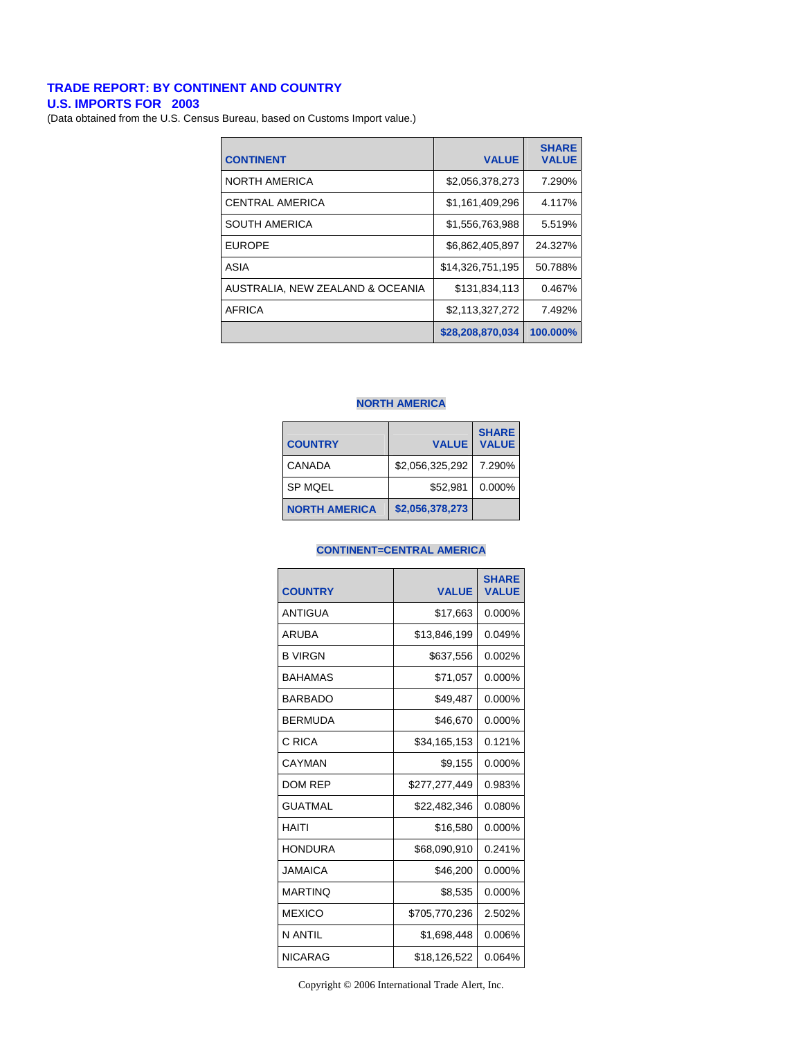# **TRADE REPORT: BY CONTINENT AND COUNTRY**

**U.S. IMPORTS FOR 2003** 

(Data obtained from the U.S. Census Bureau, based on Customs Import value.)

| <b>CONTINENT</b>                 | <b>VALUE</b>     | <b>SHARE</b><br><b>VALUE</b> |
|----------------------------------|------------------|------------------------------|
| <b>NORTH AMERICA</b>             | \$2,056,378,273  | 7.290%                       |
| <b>CENTRAL AMERICA</b>           | \$1,161,409,296  | 4.117%                       |
| <b>SOUTH AMERICA</b>             | \$1,556,763,988  | 5.519%                       |
| <b>EUROPE</b>                    | \$6,862,405,897  | 24.327%                      |
| ASIA                             | \$14,326,751,195 | 50.788%                      |
| AUSTRALIA. NEW ZEALAND & OCEANIA | \$131.834.113    | 0.467%                       |
| <b>AFRICA</b>                    | \$2,113,327,272  | 7.492%                       |
|                                  | \$28,208,870,034 | 100.000%                     |

#### **NORTH AMERICA**

| <b>COUNTRY</b>       | <b>VALUE</b>    | <b>SHARE</b><br><b>VALUE</b> |
|----------------------|-----------------|------------------------------|
| CANADA               | \$2,056,325,292 | 7.290%                       |
| <b>SP MQEL</b>       | \$52.981        | $0.000\%$                    |
| <b>NORTH AMERICA</b> | \$2,056,378,273 |                              |

# **CONTINENT=CENTRAL AMERICA**

| <b>COUNTRY</b> | <b>VALUE</b>  | <b>SHARE</b><br><b>VALUE</b> |
|----------------|---------------|------------------------------|
| ANTIGUA        | \$17,663      | $0.000\%$                    |
| ARUBA          | \$13,846,199  | 0.049%                       |
| <b>B VIRGN</b> | \$637,556     | 0.002%                       |
| <b>BAHAMAS</b> | \$71,057      | $0.000\%$                    |
| <b>BARBADO</b> | \$49,487      | $0.000\%$                    |
| <b>BERMUDA</b> | \$46,670      | 0.000%                       |
| C RICA         | \$34,165,153  | 0.121%                       |
| CAYMAN         | \$9,155       | 0.000%                       |
| <b>DOM REP</b> | \$277,277,449 | 0.983%                       |
| <b>GUATMAL</b> | \$22,482,346  | 0.080%                       |
| HAITI          | \$16,580      | 0.000%                       |
| <b>HONDURA</b> | \$68,090,910  | 0.241%                       |
| JAMAICA        | \$46,200      | 0.000%                       |
| <b>MARTINO</b> | \$8,535       | 0.000%                       |
| <b>MEXICO</b>  | \$705,770,236 | 2.502%                       |
| N ANTIL        | \$1,698,448   | 0.006%                       |
| <b>NICARAG</b> | \$18,126,522  | 0.064%                       |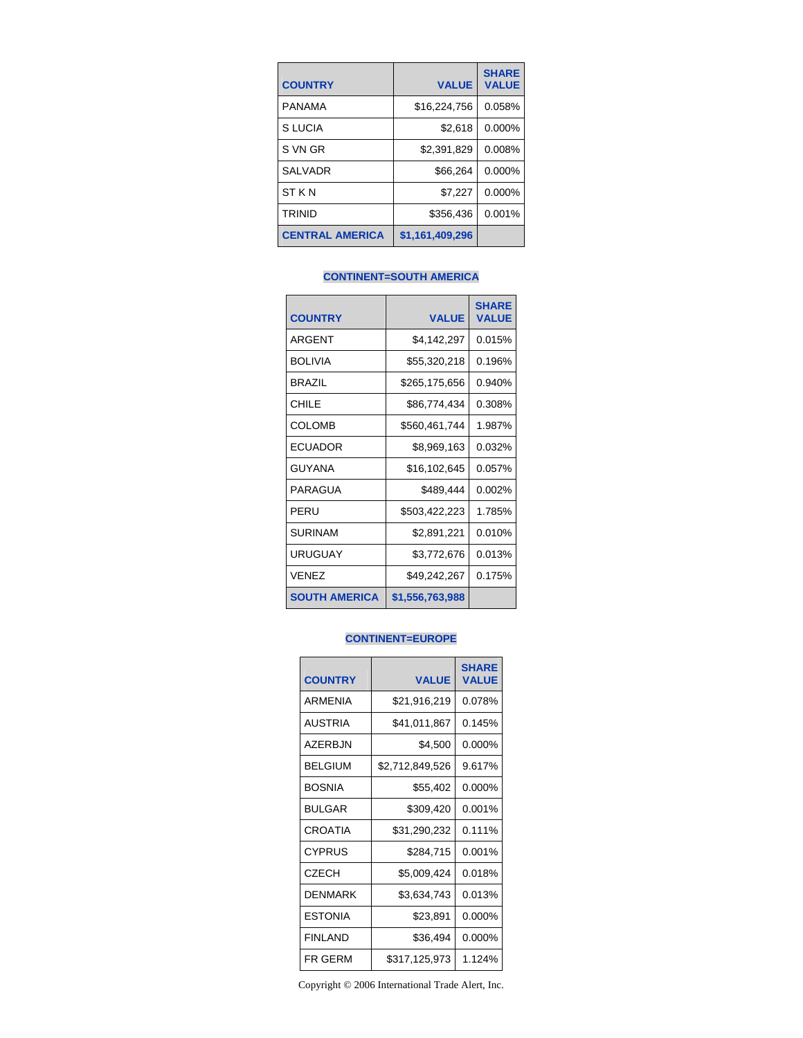| <b>COUNTRY</b>         | <b>VALUE</b>    | <b>SHARE</b><br><b>VALUE</b> |
|------------------------|-----------------|------------------------------|
| <b>PANAMA</b>          | \$16,224,756    | 0.058%                       |
| S LUCIA                | \$2,618         | 0.000%                       |
| S VN GR                | \$2,391,829     | 0.008%                       |
| <b>SALVADR</b>         | \$66,264        | 0.000%                       |
| ST K N                 | \$7,227         | 0.000%                       |
| <b>TRINID</b>          | \$356,436       | 0.001%                       |
| <b>CENTRAL AMERICA</b> | \$1,161,409,296 |                              |

## **CONTINENT=SOUTH AMERICA**

| <b>COUNTRY</b>       | <b>VALUE</b>    | <b>SHARE</b><br><b>VALUE</b> |
|----------------------|-----------------|------------------------------|
| <b>ARGENT</b>        | \$4,142,297     | 0.015%                       |
| <b>BOLIVIA</b>       | \$55,320,218    | 0.196%                       |
| <b>BRAZIL</b>        | \$265,175,656   | 0.940%                       |
| CHILE                | \$86,774,434    | 0.308%                       |
| <b>COLOMB</b>        | \$560,461,744   | 1.987%                       |
| ECUADOR              | \$8,969,163     | 0.032%                       |
| GUYANA               | \$16,102,645    | 0.057%                       |
| PARAGUA              | \$489,444       | 0.002%                       |
| PFRU                 | \$503,422,223   | 1.785%                       |
| <b>SURINAM</b>       | \$2,891,221     | 0.010%                       |
| URUGUAY              | \$3,772,676     | 0.013%                       |
| VENEZ                | \$49,242,267    | 0.175%                       |
| <b>SOUTH AMERICA</b> | \$1,556,763,988 |                              |

## **CONTINENT=EUROPE**

| <b>COUNTRY</b>  | <b>VALUE</b>    | <b>SHARE</b><br><b>VALUE</b> |
|-----------------|-----------------|------------------------------|
| <b>ARMENIA</b>  | \$21,916,219    | 0.078%                       |
| <b>AUSTRIA</b>  | \$41,011,867    | 0.145%                       |
| AZFRB.IN        | \$4,500         | 0.000%                       |
| <b>BELGIUM</b>  | \$2,712,849,526 | 9.617%                       |
| <b>BOSNIA</b>   | \$55,402        | 0.000%                       |
| <b>BULGAR</b>   | \$309,420       | 0.001%                       |
| <b>CROATIA</b>  | \$31,290,232    | 0.111%                       |
| <b>CYPRUS</b>   | \$284,715       | 0.001%                       |
| <b>CZECH</b>    | \$5,009,424     | 0.018%                       |
| <b>DENMARK</b>  | \$3,634,743     | 0.013%                       |
| <b>ESTONIA</b>  | \$23,891        | 0.000%                       |
| <b>FINI AND</b> | \$36,494        | 0.000%                       |
| FR GERM         | \$317,125,973   | 1.124%                       |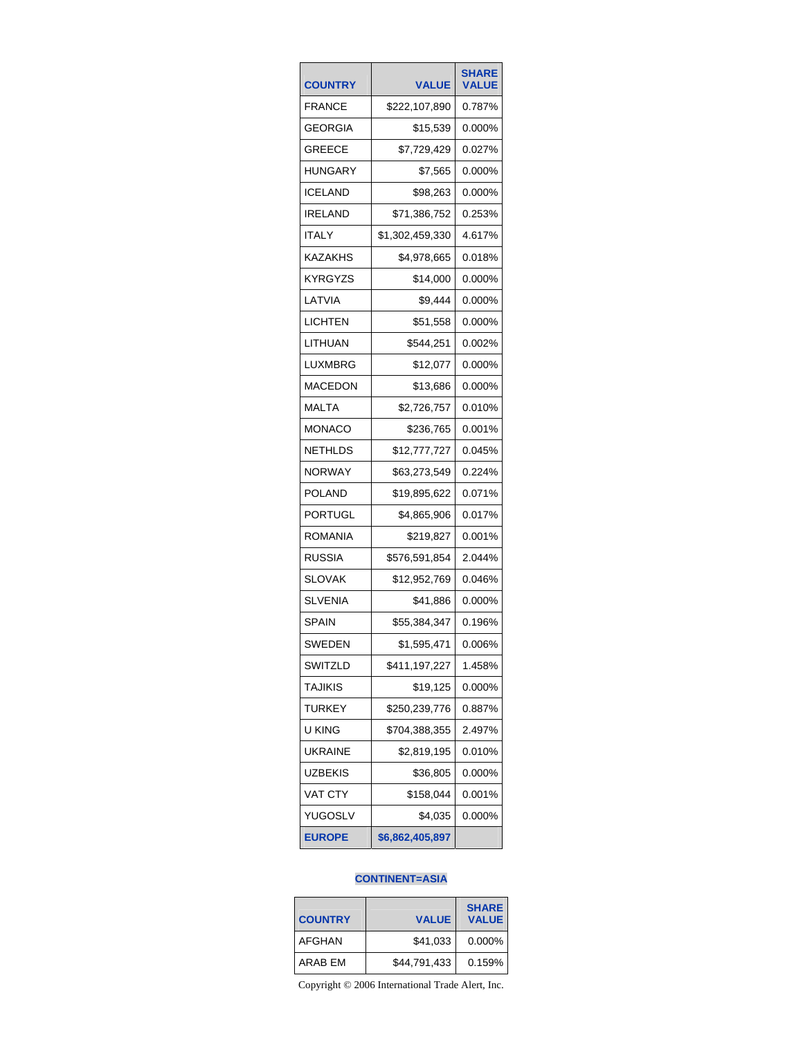| <b>COUNTRY</b> | <b>VALUE</b>    | <b>SHARE</b><br><b>VALUE</b> |
|----------------|-----------------|------------------------------|
| FRANCE         | \$222,107,890   | 0.787%                       |
| GEORGIA        | \$15,539        | 0.000%                       |
| GREECE         | \$7,729,429     | 0.027%                       |
| HUNGARY        | \$7,565         | 0.000%                       |
| <b>ICELAND</b> | \$98,263        | 0.000%                       |
| IRELAND        | \$71,386,752    | 0.253%                       |
| ITALY          | \$1,302,459,330 | 4.617%                       |
| KAZAKHS        | \$4,978,665     | 0.018%                       |
| KYRGYZS        | \$14,000        | 0.000%                       |
| LATVIA         | \$9,444         | 0.000%                       |
| LICHTEN        | \$51,558        | 0.000%                       |
| LITHUAN        | \$544,251       | 0.002%                       |
| LUXMBRG        | \$12,077        | 0.000%                       |
| MACEDON        | \$13,686        | 0.000%                       |
| MALTA          | \$2,726,757     | 0.010%                       |
| MONACO         | \$236,765       | 0.001%                       |
| NETHLDS        | \$12,777,727    | 0.045%                       |
| NORWAY         | \$63,273,549    | 0.224%                       |
| POLAND         | \$19,895,622    | 0.071%                       |
| PORTUGL        | \$4,865,906     | 0.017%                       |
| ROMANIA        | \$219,827       | 0.001%                       |
| RUSSIA         | \$576,591,854   | 2.044%                       |
| SLOVAK         | \$12,952,769    | 0.046%                       |
| <b>SLVENIA</b> | \$41,886        | 0.000%                       |
| SPAIN          | \$55,384,347    | 0.196%                       |
| SWEDEN         | \$1,595,471     | 0.006%                       |
| SWITZLD        | \$411,197,227   | 1.458%                       |
| TAJIKIS        | \$19,125        | 0.000%                       |
| TURKEY         | \$250,239,776   | 0.887%                       |
| u king         | \$704,388,355   | 2.497%                       |
| <b>UKRAINE</b> | \$2,819,195     | 0.010%                       |
| UZBEKIS        | \$36,805        | 0.000%                       |
| VAT CTY        | \$158,044       | 0.001%                       |
| YUGOSLV        | \$4,035         | 0.000%                       |
| <b>EUROPE</b>  | \$6,862,405,897 |                              |

## **CONTINENT=ASIA**

| <b>COUNTRY</b> | <b>VALUE</b> | <b>SHARE</b><br><b>VALUE</b> |
|----------------|--------------|------------------------------|
| AFGHAN         | \$41,033     | 0.000%                       |
| ARAB EM        | \$44,791,433 | 0.159%                       |

Copyright © 2006 International Trade Alert, Inc.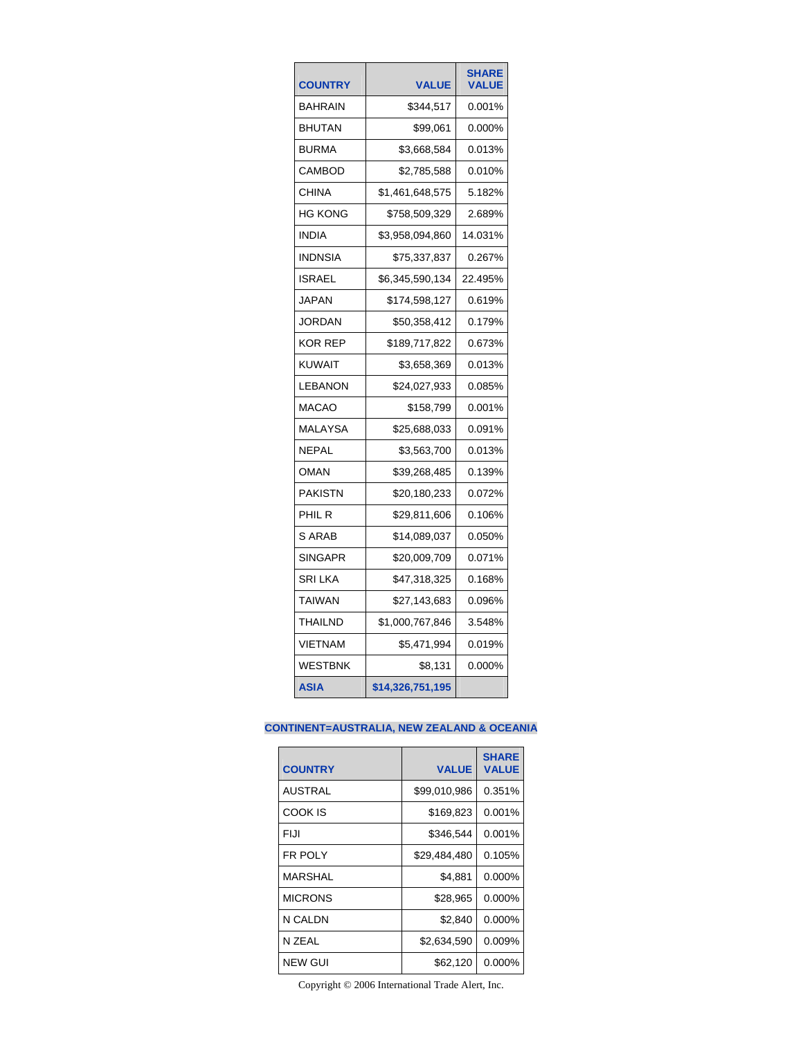| <b>COUNTRY</b> | <b>VALUE</b>     | <b>SHARE</b><br><b>/ALUE</b> |
|----------------|------------------|------------------------------|
| BAHRAIN        | \$344,517        | 0.001%                       |
| <b>BHUTAN</b>  | \$99,061         | 0.000%                       |
| <b>BURMA</b>   | \$3,668,584      | 0.013%                       |
| <b>CAMBOD</b>  | \$2,785,588      | 0.010%                       |
| <b>CHINA</b>   | \$1,461,648,575  | 5.182%                       |
| HG KONG        | \$758,509,329    | 2.689%                       |
| <b>INDIA</b>   | \$3,958,094,860  | 14.031%                      |
| <b>INDNSIA</b> | \$75,337,837     | 0.267%                       |
| <b>ISRAEL</b>  | \$6,345,590,134  | 22.495%                      |
| JAPAN          | \$174,598,127    | 0.619%                       |
| JORDAN         | \$50,358,412     | 0.179%                       |
| KOR REP        | \$189,717,822    | 0.673%                       |
| KUWAIT         | \$3,658,369      | 0.013%                       |
| LEBANON        | \$24,027,933     | 0.085%                       |
| MACAO          | \$158,799        | 0.001%                       |
| MALAYSA        | \$25,688,033     | 0.091%                       |
| NEPAL          | \$3,563,700      | 0.013%                       |
| <b>OMAN</b>    | \$39,268,485     | 0.139%                       |
| PAKISTN        | \$20,180,233     | 0.072%                       |
| PHIL R         | \$29,811,606     | 0.106%                       |
| S ARAB         | \$14,089,037     | 0.050%                       |
| <b>SINGAPR</b> | \$20,009,709     | 0.071%                       |
| <b>SRI LKA</b> | \$47,318,325     | 0.168%                       |
| <b>TAIWAN</b>  | \$27,143,683     | 0.096%                       |
| THAILND        | \$1,000,767,846  | 3.548%                       |
| <b>VIETNAM</b> | \$5,471,994      | 0.019%                       |
| WESTBNK        | \$8,131          | 0.000%                       |
| <b>ASIA</b>    | \$14,326,751,195 |                              |

## **CONTINENT=AUSTRALIA, NEW ZEALAND & OCEANIA**

| <b>COUNTRY</b> | <b>VALUE</b> | <b>SHARE</b><br><b>VALUE</b> |
|----------------|--------------|------------------------------|
| <b>AUSTRAL</b> | \$99,010,986 | 0.351%                       |
| COOK IS        | \$169,823    | 0.001%                       |
| FIJI           | \$346,544    | 0.001%                       |
| <b>FR POLY</b> | \$29,484,480 | 0.105%                       |
| <b>MARSHAL</b> | \$4.881      | 0.000%                       |
| <b>MICRONS</b> | \$28,965     | 0.000%                       |
| N CALDN        | \$2,840      | $0.000\%$                    |
| N ZEAL         | \$2,634,590  | 0.009%                       |
| <b>NEW GUI</b> | \$62,120     | 0.000%                       |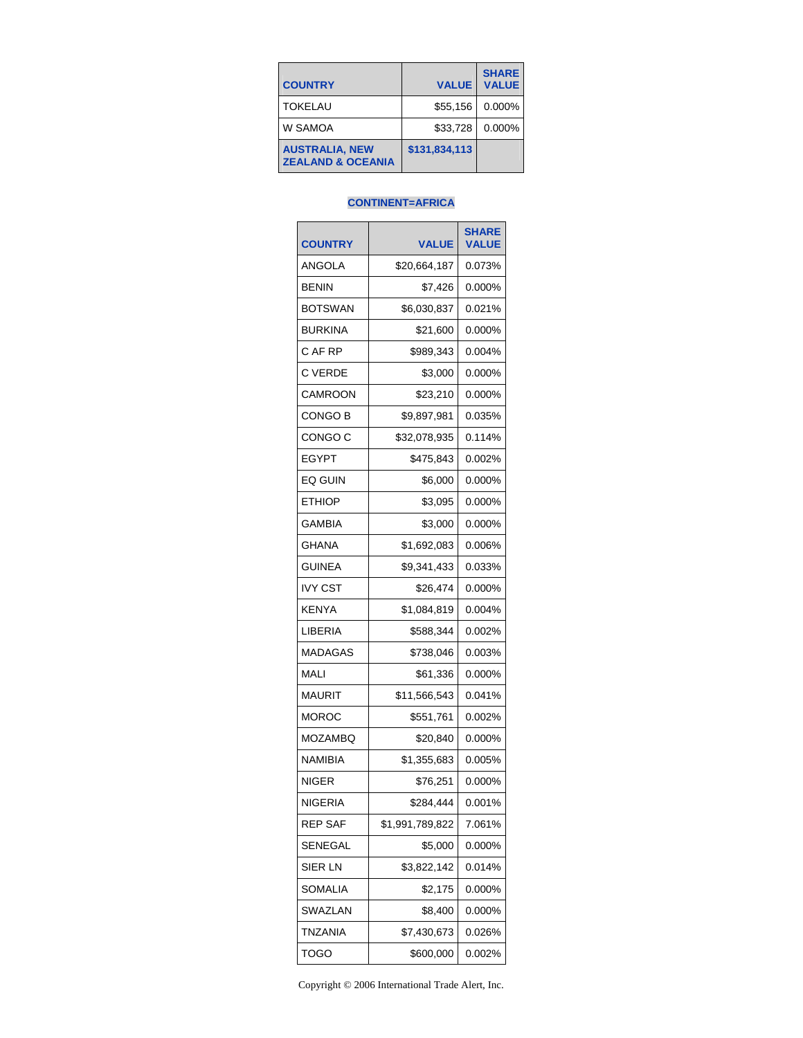| <b>COUNTRY</b>                                        | <b>VALUE</b>  | <b>SHARE</b><br><b>VALUE</b> |
|-------------------------------------------------------|---------------|------------------------------|
| <b>TOKELAU</b>                                        | \$55.156      | 0.000%                       |
| W SAMOA                                               | \$33.728      | 0.000%                       |
| <b>AUSTRALIA, NEW</b><br><b>ZEALAND &amp; OCEANIA</b> | \$131,834,113 |                              |

#### **CONTINENT=AFRICA**

| <b>COUNTRY</b> | <b>VALUE</b>    | <b>SHARE</b><br><b>VALUE</b> |
|----------------|-----------------|------------------------------|
| ANGOLA         | \$20,664,187    | 0.073%                       |
| <b>BENIN</b>   | \$7,426         | 0.000%                       |
| <b>BOTSWAN</b> | \$6,030,837     | 0.021%                       |
| <b>BURKINA</b> | \$21,600        | 0.000%                       |
| C AF RP        | \$989,343       | 0.004%                       |
| C VERDE        | \$3,000         | 0.000%                       |
| <b>CAMROON</b> | \$23,210        | 0.000%                       |
| CONGO B        | \$9,897,981     | 0.035%                       |
| CONGO C        | \$32,078,935    | 0.114%                       |
| <b>EGYPT</b>   | \$475,843       | 0.002%                       |
| EQ GUIN        | \$6,000         | 0.000%                       |
| <b>ETHIOP</b>  | \$3,095         | 0.000%                       |
| GAMBIA         | \$3,000         | 0.000%                       |
| <b>GHANA</b>   | \$1,692,083     | 0.006%                       |
| <b>GUINEA</b>  | \$9,341,433     | 0.033%                       |
| IVY CST        | \$26,474        | 0.000%                       |
| KENYA          | \$1,084,819     | 0.004%                       |
| LIBERIA        | \$588,344       | 0.002%                       |
| MADAGAS        | \$738,046       | 0.003%                       |
| MALI           | \$61,336        | 0.000%                       |
| MAURIT         | \$11,566,543    | 0.041%                       |
| MOROC          | \$551,761       | 0.002%                       |
| MOZAMBQ        | \$20,840        | 0.000%                       |
| NAMIBIA        | \$1,355,683     | 0.005%                       |
| <b>NIGER</b>   | \$76,251        | 0.000%                       |
| <b>NIGERIA</b> | \$284,444       | 0.001%                       |
| <b>REP SAF</b> | \$1,991,789,822 | 7.061%                       |
| SENEGAL        | \$5,000         | 0.000%                       |
| SIER LN        | \$3,822,142     | 0.014%                       |
| SOMALIA        | \$2,175         | 0.000%                       |
| SWAZLAN        | \$8,400         | 0.000%                       |
| TNZANIA        | \$7,430,673     | 0.026%                       |
| TOGO           | \$600,000       | 0.002%                       |